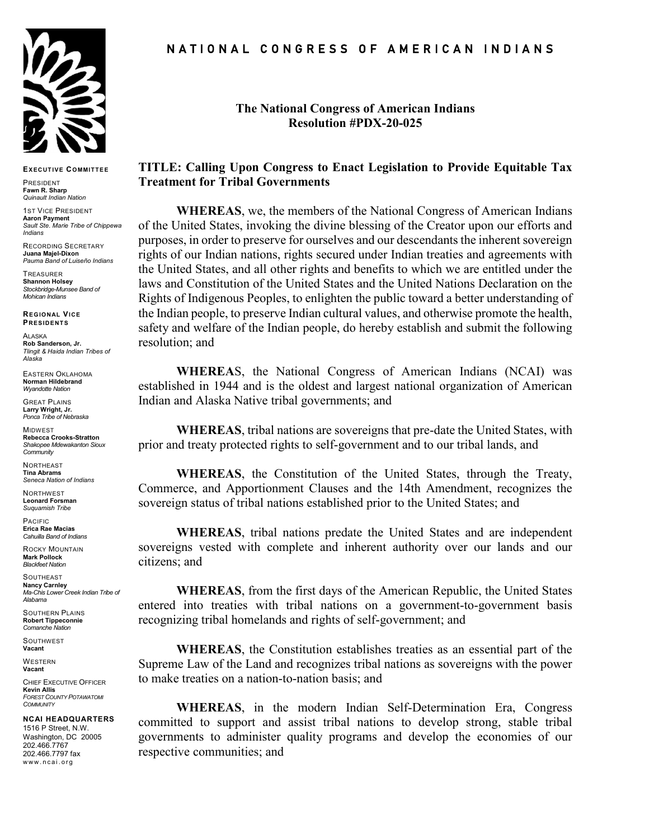

**EXECUTIVE COMMITTEE**

PRESIDENT **Fawn R. Sharp** *Quinault Indian Nation*

**1ST VICE PRESIDENT Aaron Payment** *Sault Ste. Marie Tribe of Chippewa Indians*

RECORDING SECRETARY **Juana Majel-Dixon** *Pauma Band of Luiseño Indians*

TREASURER **Shannon Holsey** *Stockbridge-Munsee Band of Mohican Indians*

**REGIONAL VICE PRESIDENTS**

ALASKA **Rob Sanderson, Jr.** *Tlingit & Haida Indian Tribes of Alaska*

EASTERN OKLAHOMA **Norman Hildebrand** *Wyandotte Nation*

GREAT PLAINS **Larry Wright, Jr.** *Ponca Tribe of Nebraska*

**MIDWEST Rebecca Crooks-Stratton** *Shakopee Mdewakanton Sioux Community*

**NORTHEAST Tina Abrams** *Seneca Nation of Indians*

NORTHWEST **Leonard Forsman** *Suquamish Tribe*

PACIFIC **Erica Rae Macias** *Cahuilla Band of Indians*

ROCKY MOUNTAIN **Mark Pollock**

*Blackfeet Nation*

**SOUTHEAST Nancy Carnley** *Ma-Chis Lower Creek Indian Tribe of Alabama*

SOUTHERN PLAINS **Robert Tippeconnie** *Comanche Nation*

**SOUTHWEST Vacant**

**WESTERN Vacant**

CHIEF EXECUTIVE OFFICER **Kevin Allis** *FOREST COUNTY POTAWATOMI COMMUNITY*

## **NCAI HEADQUARTERS**

1516 P Street, N.W. Washington, DC 20005 202.466.7767 202.466.7797 fax www.ncai.org

## N A T I O N A L C O N G R E S S O F A M E R I C A N I N D I A N S

**The National Congress of American Indians Resolution #PDX-20-025**

## **TITLE: Calling Upon Congress to Enact Legislation to Provide Equitable Tax Treatment for Tribal Governments**

**WHEREAS**, we, the members of the National Congress of American Indians of the United States, invoking the divine blessing of the Creator upon our efforts and purposes, in order to preserve for ourselves and our descendants the inherent sovereign rights of our Indian nations, rights secured under Indian treaties and agreements with the United States, and all other rights and benefits to which we are entitled under the laws and Constitution of the United States and the United Nations Declaration on the Rights of Indigenous Peoples, to enlighten the public toward a better understanding of the Indian people, to preserve Indian cultural values, and otherwise promote the health, safety and welfare of the Indian people, do hereby establish and submit the following resolution; and

**WHEREA**S, the National Congress of American Indians (NCAI) was established in 1944 and is the oldest and largest national organization of American Indian and Alaska Native tribal governments; and

**WHEREAS**, tribal nations are sovereigns that pre-date the United States, with prior and treaty protected rights to self-government and to our tribal lands, and

**WHEREAS**, the Constitution of the United States, through the Treaty, Commerce, and Apportionment Clauses and the 14th Amendment, recognizes the sovereign status of tribal nations established prior to the United States; and

**WHEREAS**, tribal nations predate the United States and are independent sovereigns vested with complete and inherent authority over our lands and our citizens; and

**WHEREAS**, from the first days of the American Republic, the United States entered into treaties with tribal nations on a government-to-government basis recognizing tribal homelands and rights of self-government; and

**WHEREAS**, the Constitution establishes treaties as an essential part of the Supreme Law of the Land and recognizes tribal nations as sovereigns with the power to make treaties on a nation-to-nation basis; and

**WHEREAS**, in the modern Indian Self-Determination Era, Congress committed to support and assist tribal nations to develop strong, stable tribal governments to administer quality programs and develop the economies of our respective communities; and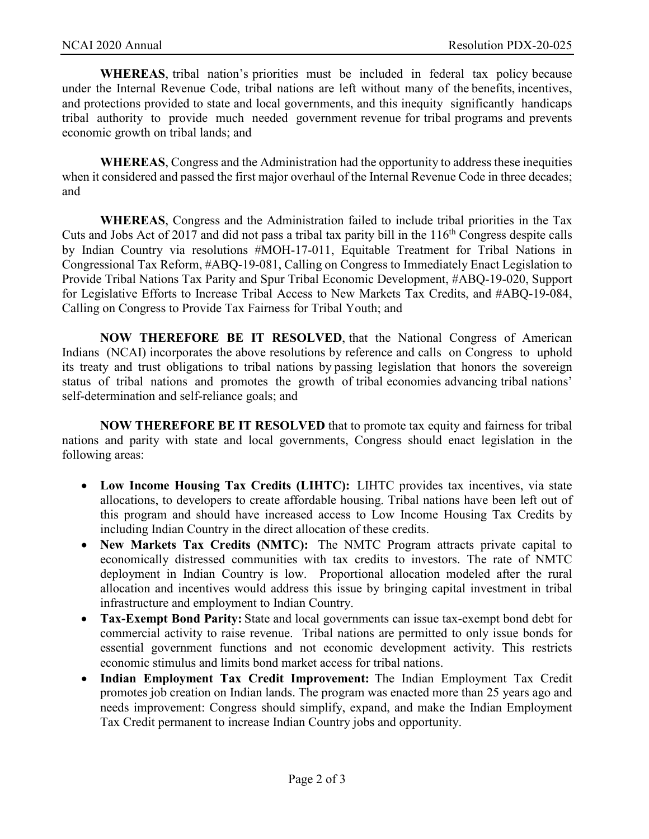**WHEREAS**, tribal nation's priorities must be included in federal tax policy because under the Internal Revenue Code, tribal nations are left without many of the benefits, incentives, and protections provided to state and local governments, and this inequity significantly handicaps tribal authority to provide much needed government revenue for tribal programs and prevents economic growth on tribal lands; and

**WHEREAS**, Congress and the Administration had the opportunity to address these inequities when it considered and passed the first major overhaul of the Internal Revenue Code in three decades; and

**WHEREAS**, Congress and the Administration failed to include tribal priorities in the Tax Cuts and Jobs Act of 2017 and did not pass a tribal tax parity bill in the  $116<sup>th</sup>$  Congress despite calls by Indian Country via resolutions #MOH-17-011, Equitable Treatment for Tribal Nations in Congressional Tax Reform, #ABQ-19-081, Calling on Congress to Immediately Enact Legislation to Provide Tribal Nations Tax Parity and Spur Tribal Economic Development, #ABQ-19-020, Support for Legislative Efforts to Increase Tribal Access to New Markets Tax Credits, and #ABQ-19-084, Calling on Congress to Provide Tax Fairness for Tribal Youth; and

**NOW THEREFORE BE IT RESOLVED**, that the National Congress of American Indians (NCAI) incorporates the above resolutions by reference and calls on Congress to uphold its treaty and trust obligations to tribal nations by passing legislation that honors the sovereign status of tribal nations and promotes the growth of tribal economies advancing tribal nations' self-determination and self-reliance goals; and

**NOW THEREFORE BE IT RESOLVED** that to promote tax equity and fairness for tribal nations and parity with state and local governments, Congress should enact legislation in the following areas:

- **Low Income Housing Tax Credits (LIHTC):** LIHTC provides tax incentives, via state allocations, to developers to create affordable housing. Tribal nations have been left out of this program and should have increased access to Low Income Housing Tax Credits by including Indian Country in the direct allocation of these credits.
- **New Markets Tax Credits (NMTC):** The NMTC Program attracts private capital to economically distressed communities with tax credits to investors. The rate of NMTC deployment in Indian Country is low. Proportional allocation modeled after the rural allocation and incentives would address this issue by bringing capital investment in tribal infrastructure and employment to Indian Country.
- **Tax-Exempt Bond Parity:** State and local governments can issue tax-exempt bond debt for commercial activity to raise revenue. Tribal nations are permitted to only issue bonds for essential government functions and not economic development activity. This restricts economic stimulus and limits bond market access for tribal nations.
- **Indian Employment Tax Credit Improvement:** The Indian Employment Tax Credit promotes job creation on Indian lands. The program was enacted more than 25 years ago and needs improvement: Congress should simplify, expand, and make the Indian Employment Tax Credit permanent to increase Indian Country jobs and opportunity.